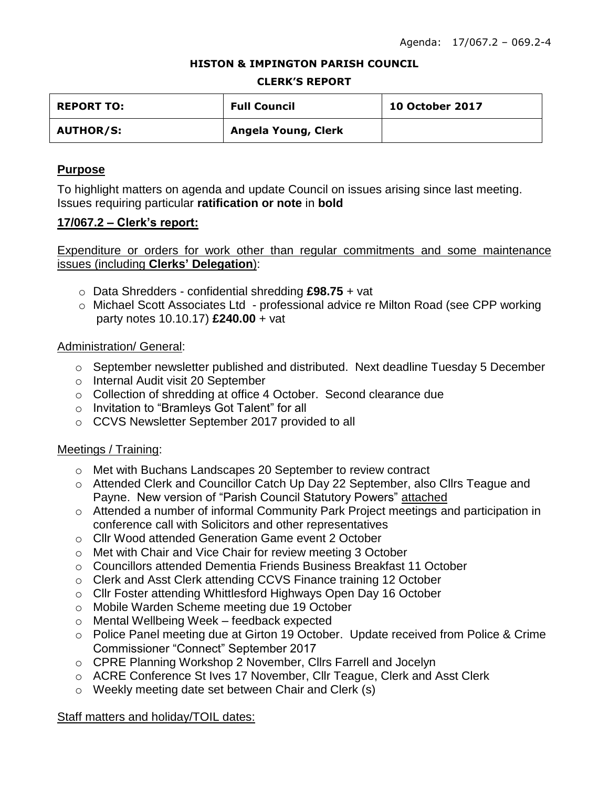#### **HISTON & IMPINGTON PARISH COUNCIL**

#### **CLERK'S REPORT**

| <b>REPORT TO:</b> | <b>Full Council</b> | <b>10 October 2017</b> |
|-------------------|---------------------|------------------------|
| <b>AUTHOR/S:</b>  | Angela Young, Clerk |                        |

## **Purpose**

To highlight matters on agenda and update Council on issues arising since last meeting. Issues requiring particular **ratification or note** in **bold**

## **17/067.2 – Clerk's report:**

Expenditure or orders for work other than regular commitments and some maintenance issues (including **Clerks' Delegation**):

- o Data Shredders confidential shredding **£98.75** + vat
- o Michael Scott Associates Ltd professional advice re Milton Road (see CPP working party notes 10.10.17) **£240.00** + vat

## Administration/ General:

- $\circ$  September newsletter published and distributed. Next deadline Tuesday 5 December
- o Internal Audit visit 20 September
- o Collection of shredding at office 4 October. Second clearance due
- o Invitation to "Bramleys Got Talent" for all
- o CCVS Newsletter September 2017 provided to all

# Meetings / Training:

- o Met with Buchans Landscapes 20 September to review contract
- o Attended Clerk and Councillor Catch Up Day 22 September, also Cllrs Teague and Payne. New version of "Parish Council Statutory Powers" attached
- o Attended a number of informal Community Park Project meetings and participation in conference call with Solicitors and other representatives
- o Cllr Wood attended Generation Game event 2 October
- o Met with Chair and Vice Chair for review meeting 3 October
- o Councillors attended Dementia Friends Business Breakfast 11 October
- o Clerk and Asst Clerk attending CCVS Finance training 12 October
- o Cllr Foster attending Whittlesford Highways Open Day 16 October
- o Mobile Warden Scheme meeting due 19 October
- o Mental Wellbeing Week feedback expected
- o Police Panel meeting due at Girton 19 October. Update received from Police & Crime Commissioner "Connect" September 2017
- o CPRE Planning Workshop 2 November, Cllrs Farrell and Jocelyn
- o ACRE Conference St Ives 17 November, Cllr Teague, Clerk and Asst Clerk
- o Weekly meeting date set between Chair and Clerk (s)

# Staff matters and holiday/TOIL dates: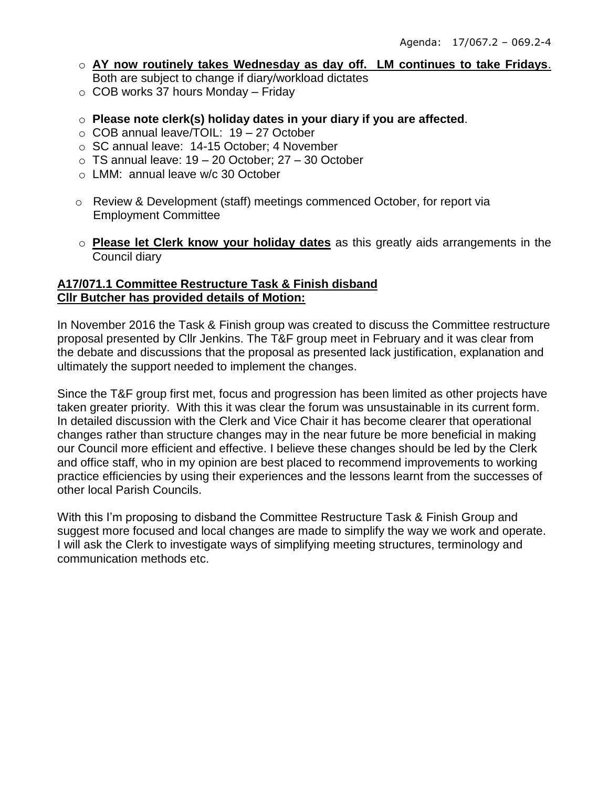- o **AY now routinely takes Wednesday as day off. LM continues to take Fridays**. Both are subject to change if diary/workload dictates
- $\circ$  COB works 37 hours Monday Friday
- o **Please note clerk(s) holiday dates in your diary if you are affected**.
- o COB annual leave/TOIL: 19 27 October
- o SC annual leave: 14-15 October; 4 November
- $\circ$  TS annual leave: 19 20 October: 27 30 October
- o LMM: annual leave w/c 30 October
- o Review & Development (staff) meetings commenced October, for report via Employment Committee
- o **Please let Clerk know your holiday dates** as this greatly aids arrangements in the Council diary

## **A17/071.1 Committee Restructure Task & Finish disband Cllr Butcher has provided details of Motion:**

In November 2016 the Task & Finish group was created to discuss the Committee restructure proposal presented by Cllr Jenkins. The T&F group meet in February and it was clear from the debate and discussions that the proposal as presented lack justification, explanation and ultimately the support needed to implement the changes.

Since the T&F group first met, focus and progression has been limited as other projects have taken greater priority. With this it was clear the forum was unsustainable in its current form. In detailed discussion with the Clerk and Vice Chair it has become clearer that operational changes rather than structure changes may in the near future be more beneficial in making our Council more efficient and effective. I believe these changes should be led by the Clerk and office staff, who in my opinion are best placed to recommend improvements to working practice efficiencies by using their experiences and the lessons learnt from the successes of other local Parish Councils.

With this I'm proposing to disband the Committee Restructure Task & Finish Group and suggest more focused and local changes are made to simplify the way we work and operate. I will ask the Clerk to investigate ways of simplifying meeting structures, terminology and communication methods etc.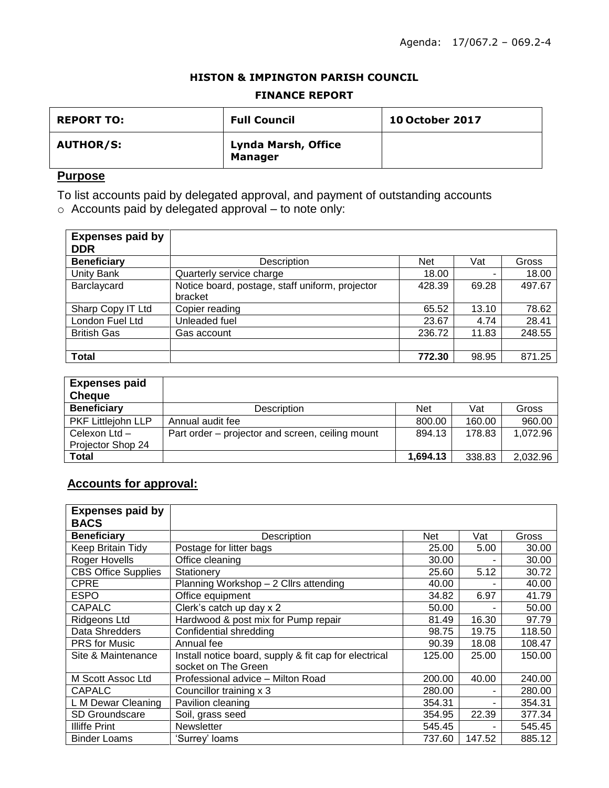#### **HISTON & IMPINGTON PARISH COUNCIL**

#### **FINANCE REPORT**

| <b>REPORT TO:</b> | <b>Full Council</b>                   | <b>10 October 2017</b> |
|-------------------|---------------------------------------|------------------------|
| <b>AUTHOR/S:</b>  | Lynda Marsh, Office<br><b>Manager</b> |                        |

# **Purpose**

To list accounts paid by delegated approval, and payment of outstanding accounts

o Accounts paid by delegated approval – to note only:

| <b>Expenses paid by</b><br><b>DDR</b> |                                                            |            |       |        |
|---------------------------------------|------------------------------------------------------------|------------|-------|--------|
| <b>Beneficiary</b>                    | Description                                                | <b>Net</b> | Vat   | Gross  |
| <b>Unity Bank</b>                     | Quarterly service charge                                   | 18.00      |       | 18.00  |
| Barclaycard                           | Notice board, postage, staff uniform, projector<br>bracket | 428.39     | 69.28 | 497.67 |
| Sharp Copy IT Ltd                     | Copier reading                                             | 65.52      | 13.10 | 78.62  |
| London Fuel Ltd                       | Unleaded fuel                                              | 23.67      | 4.74  | 28.41  |
| <b>British Gas</b>                    | Gas account                                                | 236.72     | 11.83 | 248.55 |
|                                       |                                                            |            |       |        |
| <b>Total</b>                          |                                                            | 772.30     | 98.95 | 871.25 |

| <b>Expenses paid</b><br><b>Cheque</b> |                                                  |            |        |          |
|---------------------------------------|--------------------------------------------------|------------|--------|----------|
| <b>Beneficiary</b>                    | Description                                      | <b>Net</b> | Vat    | Gross    |
| PKF Littlejohn LLP                    | Annual audit fee                                 | 800.00     | 160.00 | 960.00   |
| Celexon Ltd -<br>Projector Shop 24    | Part order – projector and screen, ceiling mount | 894.13     | 178.83 | 1,072.96 |
| Total                                 |                                                  | 1,694.13   | 338.83 | 2,032.96 |

# **Accounts for approval:**

| <b>Expenses paid by</b>    |                                                       |        |        |        |
|----------------------------|-------------------------------------------------------|--------|--------|--------|
| <b>BACS</b>                |                                                       |        |        |        |
| <b>Beneficiary</b>         | Description                                           | Net    | Vat    | Gross  |
| Keep Britain Tidy          | Postage for litter bags                               | 25.00  | 5.00   | 30.00  |
| Roger Hovells              | Office cleaning                                       | 30.00  |        | 30.00  |
| <b>CBS Office Supplies</b> | Stationery                                            | 25.60  | 5.12   | 30.72  |
| <b>CPRE</b>                | Planning Workshop – 2 Cllrs attending                 | 40.00  |        | 40.00  |
| <b>ESPO</b>                | Office equipment                                      | 34.82  | 6.97   | 41.79  |
| <b>CAPALC</b>              | Clerk's catch up day x 2                              | 50.00  |        | 50.00  |
| <b>Ridgeons Ltd</b>        | Hardwood & post mix for Pump repair                   | 81.49  | 16.30  | 97.79  |
| Data Shredders             | Confidential shredding                                | 98.75  | 19.75  | 118.50 |
| <b>PRS</b> for Music       | Annual fee                                            | 90.39  | 18.08  | 108.47 |
| Site & Maintenance         | Install notice board, supply & fit cap for electrical | 125.00 | 25.00  | 150.00 |
|                            | socket on The Green                                   |        |        |        |
| M Scott Assoc Ltd          | Professional advice - Milton Road                     | 200.00 | 40.00  | 240.00 |
| <b>CAPALC</b>              | Councillor training x 3                               | 280.00 |        | 280.00 |
| L M Dewar Cleaning         | Pavilion cleaning                                     | 354.31 |        | 354.31 |
| SD Groundscare             | Soil, grass seed                                      | 354.95 | 22.39  | 377.34 |
| <b>Illiffe Print</b>       | <b>Newsletter</b>                                     | 545.45 |        | 545.45 |
| <b>Binder Loams</b>        | 'Surrey' loams                                        | 737.60 | 147.52 | 885.12 |